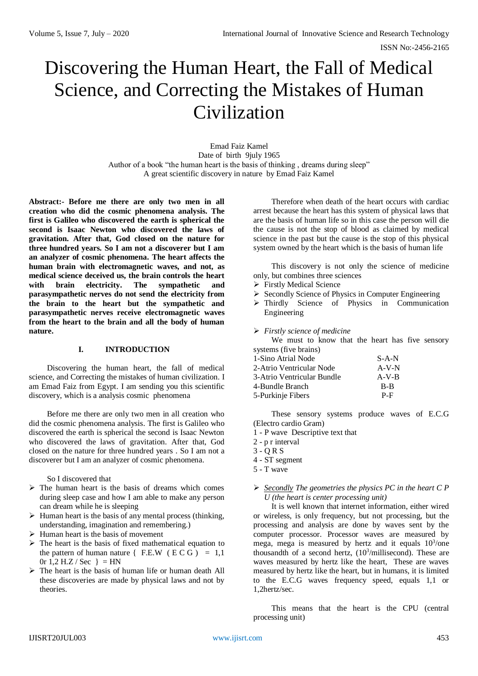# Discovering the Human Heart, the Fall of Medical Science, and Correcting the Mistakes of Human Civilization

Emad Faiz Kamel Date of birth 9july 1965 Author of a book "the human heart is the basis of thinking , dreams during sleep" A great scientific discovery in nature by Emad Faiz Kamel

**Abstract:- Before me there are only two men in all creation who did the cosmic phenomena analysis. The first is Galileo who discovered the earth is spherical the second is Isaac Newton who discovered the laws of gravitation. After that, God closed on the nature for three hundred years. So I am not a discoverer but I am an analyzer of cosmic phenomena. The heart affects the human brain with electromagnetic waves, and not, as medical science deceived us, the brain controls the heart with brain electricity. The sympathetic and parasympathetic nerves do not send the electricity from the brain to the heart but the sympathetic and parasympathetic nerves receive electromagnetic waves from the heart to the brain and all the body of human nature.**

# **I. INTRODUCTION**

Discovering the human heart, the fall of medical science, and Correcting the mistakes of human civilization. I am Emad Faiz from Egypt. I am sending you this scientific discovery, which is a analysis cosmic phenomena

Before me there are only two men in all creation who did the cosmic phenomena analysis. The first is Galileo who discovered the earth is spherical the second is Isaac Newton who discovered the laws of gravitation. After that, God closed on the nature for three hundred years . So I am not a discoverer but I am an analyzer of cosmic phenomena.

So I discovered that

- $\triangleright$  The human heart is the basis of dreams which comes during sleep case and how I am able to make any person can dream while he is sleeping
- $\triangleright$  Human heart is the basis of any mental process (thinking, understanding, imagination and remembering.)
- $\triangleright$  Human heart is the basis of movement
- $\triangleright$  The heart is the basis of fixed mathematical equation to the pattern of human nature  $\{$  F.E.W ( $\angle$ ECG) = 1,1 0r 1,2 H.Z / Sec  $\}$  = HN
- $\triangleright$  The heart is the basis of human life or human death All these discoveries are made by physical laws and not by theories.

Therefore when death of the heart occurs with cardiac arrest because the heart has this system of physical laws that are the basis of human life so in this case the person will die the cause is not the stop of blood as claimed by medical science in the past but the cause is the stop of this physical system owned by the heart which is the basis of human life

This discovery is not only the science of medicine only, but combines three sciences

- **Firstly Medical Science**
- > Secondly Science of Physics in Computer Engineering
- Thirdly Science of Physics in Communication Engineering
- *Firstly science of medicine*

We must to know that the heart has five sensory systems (five brains)

| 1-Sino Atrial Node         | $S-A-N$ |
|----------------------------|---------|
| 2-Atrio Ventricular Node   | $A-V-N$ |
| 3-Atrio Ventricular Bundle | $A-V-B$ |
| 4-Bundle Branch            | $B - B$ |
| 5-Purkinje Fibers          | $P-F$   |

These sensory systems produce waves of E.C.G (Electro cardio Gram)

- 1 P wave Descriptive text that
- 2 p r interval
- 3 Q R S
- 4 ST segment
- 5 T wave

# *Secondly The geometries the physics PC in the heart C P U (the heart is center processing unit)*

It is well known that internet information, either wired or wireless, is only frequency, but not processing, but the processing and analysis are done by waves sent by the computer processor. Processor waves are measured by mega, mega is measured by hertz and it equals  $10<sup>3</sup>/one$ thousandth of a second hertz,  $(10^3/millisecond)$ . These are waves measured by hertz like the heart, These are waves measured by hertz like the heart, but in humans, it is limited to the E.C.G waves frequency speed, equals 1,1 or 1,2hertz/sec.

This means that the heart is the CPU (central processing unit)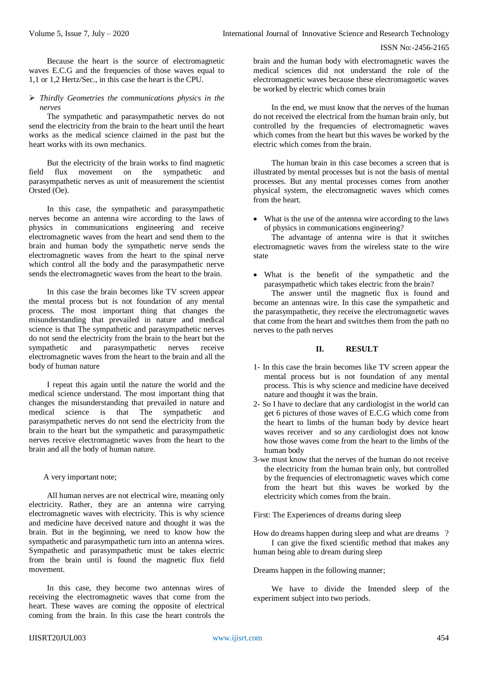Because the heart is the source of electromagnetic waves E.C.G and the frequencies of those waves equal to 1,1 or 1,2 Hertz/Sec., in this case the heart is the CPU.

 *Thirdly Geometries the communications physics in the nerves*

The sympathetic and parasympathetic nerves do not send the electricity from the brain to the heart until the heart works as the medical science claimed in the past but the heart works with its own mechanics.

But the electricity of the brain works to find magnetic field flux movement on the sympathetic and parasympathetic nerves as unit of measurement the scientist Orsted (Oe).

In this case, the sympathetic and parasympathetic nerves become an antenna wire according to the laws of physics in communications engineering and receive electromagnetic waves from the heart and send them to the brain and human body the sympathetic nerve sends the electromagnetic waves from the heart to the spinal nerve which control all the body and the parasympathetic nerve sends the electromagnetic waves from the heart to the brain.

In this case the brain becomes like TV screen appear the mental process but is not foundation of any mental process. The most important thing that changes the misunderstanding that prevailed in nature and medical science is that The sympathetic and parasympathetic nerves do not send the electricity from the brain to the heart but the sympathetic and parasympathetic nerves receive electromagnetic waves from the heart to the brain and all the body of human nature

I repeat this again until the nature the world and the medical science understand. The most important thing that changes the misunderstanding that prevailed in nature and medical science is that The sympathetic and parasympathetic nerves do not send the electricity from the brain to the heart but the sympathetic and parasympathetic nerves receive electromagnetic waves from the heart to the brain and all the body of human nature.

# A very important note;

All human nerves are not electrical wire, meaning only electricity. Rather, they are an antenna wire carrying electromagnetic waves with electricity. This is why science and medicine have deceived nature and thought it was the brain. But in the beginning, we need to know how the sympathetic and parasympathetic turn into an antenna wires. Sympathetic and parasympathetic must be takes electric from the brain until is found the magnetic flux field movement.

In this case, they become two antennas wires of receiving the electromagnetic waves that come from the heart. These waves are coming the opposite of electrical coming from the brain. In this case the heart controls the

In the end, we must know that the nerves of the human do not received the electrical from the human brain only, but controlled by the frequencies of electromagnetic waves which comes from the heart but this waves be worked by the electric which comes from the brain.

The human brain in this case becomes a screen that is illustrated by mental processes but is not the basis of mental processes. But any mental processes comes from another physical system, the electromagnetic waves which comes from the heart.

 What is the use of the antenna wire according to the laws of physics in communications engineering?

The advantage of antenna wire is that it switches electromagnetic waves from the wireless state to the wire state

 What is the benefit of the sympathetic and the parasympathetic which takes electric from the brain?

The answer until the magnetic flux is found and become an antennas wire. In this case the sympathetic and the parasympathetic, they receive the electromagnetic waves that come from the heart and switches them from the path no nerves to the path nerves

# **II. RESULT**

- 1- In this case the brain becomes like TV screen appear the mental process but is not foundation of any mental process. This is why science and medicine have deceived nature and thought it was the brain.
- 2- So I have to declare that any cardiologist in the world can get 6 pictures of those waves of E.C.G which come from the heart to limbs of the human body by device heart waves receiver and so any cardiologist does not know how those waves come from the heart to the limbs of the human body
- 3-we must know that the nerves of the human do not receive the electricity from the human brain only, but controlled by the frequencies of electromagnetic waves which come from the heart but this waves be worked by the electricity which comes from the brain.

First: The Experiences of dreams during sleep

How do dreams happen during sleep and what are dreams ? I can give the fixed scientific method that makes any human being able to dream during sleep

Dreams happen in the following manner;

We have to divide the Intended sleep of the experiment subject into two periods.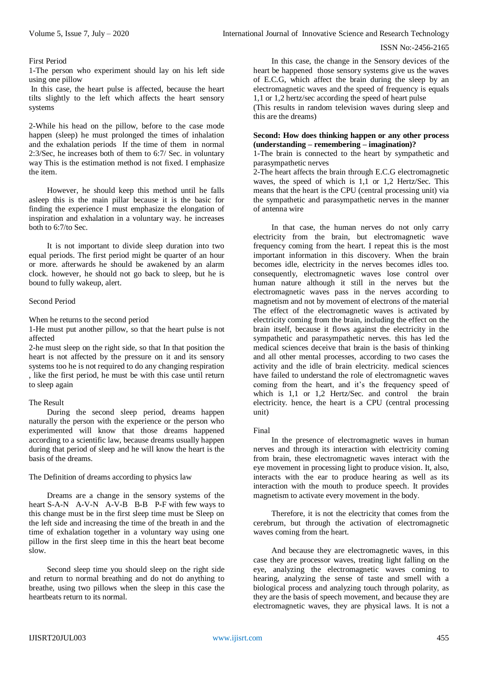# First Period

1-The person who experiment should lay on his left side using one pillow

In this case, the heart pulse is affected, because the heart tilts slightly to the left which affects the heart sensory systems

2-While his head on the pillow, before to the case mode happen (sleep) he must prolonged the times of inhalation and the exhalation periods If the time of them in normal 2:3/Sec, he increases both of them to 6:7/ Sec. in voluntary way This is the estimation method is not fixed. I emphasize the item.

However, he should keep this method until he falls asleep this is the main pillar because it is the basic for finding the experience I must emphasize the elongation of inspiration and exhalation in a voluntary way. he increases both to 6:7/to Sec.

It is not important to divide sleep duration into two equal periods. The first period might be quarter of an hour or more. afterwards he should be awakened by an alarm clock. however, he should not go back to sleep, but he is bound to fully wakeup, alert.

# Second Period

When he returns to the second period

1-He must put another pillow, so that the heart pulse is not affected

2-he must sleep on the right side, so that In that position the heart is not affected by the pressure on it and its sensory systems too he is not required to do any changing respiration , like the first period, he must be with this case until return to sleep again

# The Result

During the second sleep period, dreams happen naturally the person with the experience or the person who experimented will know that those dreams happened according to a scientific law, because dreams usually happen during that period of sleep and he will know the heart is the basis of the dreams.

The Definition of dreams according to physics law

Dreams are a change in the sensory systems of the heart S-A-N A-V-N A-V-B B-B P-F with few ways to this change must be in the first sleep time must be Sleep on the left side and increasing the time of the breath in and the time of exhalation together in a voluntary way using one pillow in the first sleep time in this the heart beat become slow.

Second sleep time you should sleep on the right side and return to normal breathing and do not do anything to breathe, using two pillows when the sleep in this case the heartbeats return to its normal.

In this case, the change in the Sensory devices of the heart be happened those sensory systems give us the waves of E.C.G, which affect the brain during the sleep by an electromagnetic waves and the speed of frequency is equals 1,1 or 1,2 hertz/sec according the speed of heart pulse

(This results in random television waves during sleep and this are the dreams)

## **Second: How does thinking happen or any other process (understanding – remembering – imagination)?**

1-The brain is connected to the heart by sympathetic and parasympathetic nerves

2-The heart affects the brain through E.C.G electromagnetic waves, the speed of which is 1,1 or 1,2 Hertz/Sec. This means that the heart is the CPU (central processing unit) via the sympathetic and parasympathetic nerves in the manner of antenna wire

In that case, the human nerves do not only carry electricity from the brain, but electromagnetic wave frequency coming from the heart. I repeat this is the most important information in this discovery. When the brain becomes idle, electricity in the nerves becomes idles too. consequently, electromagnetic waves lose control over human nature although it still in the nerves but the electromagnetic waves pass in the nerves according to magnetism and not by movement of electrons of the material The effect of the electromagnetic waves is activated by electricity coming from the brain, including the effect on the brain itself, because it flows against the electricity in the sympathetic and parasympathetic nerves. this has led the medical sciences deceive that brain is the basis of thinking and all other mental processes, according to two cases the activity and the idle of brain electricity. medical sciences have failed to understand the role of electromagnetic waves coming from the heart, and it's the frequency speed of which is 1,1 or 1,2 Hertz/Sec. and control the brain electricity. hence, the heart is a CPU (central processing unit)

#### Final

In the presence of electromagnetic waves in human nerves and through its interaction with electricity coming from brain, these electromagnetic waves interact with the eye movement in processing light to produce vision. It, also, interacts with the ear to produce hearing as well as its interaction with the mouth to produce speech. It provides magnetism to activate every movement in the body.

Therefore, it is not the electricity that comes from the cerebrum, but through the activation of electromagnetic waves coming from the heart.

And because they are electromagnetic waves, in this case they are processor waves, treating light falling on the eye, analyzing the electromagnetic waves coming to hearing, analyzing the sense of taste and smell with a biological process and analyzing touch through polarity, as they are the basis of speech movement, and because they are electromagnetic waves, they are physical laws. It is not a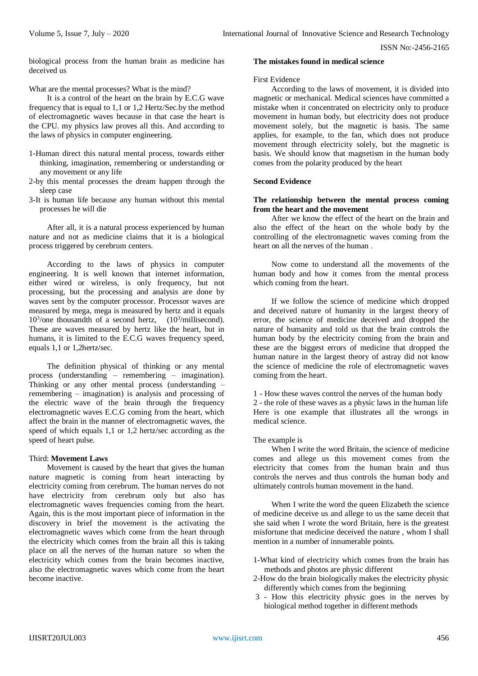biological process from the human brain as medicine has deceived us

What are the mental processes? What is the mind?

It is a control of the heart on the brain by E.C.G wave frequency that is equal to 1,1 or 1,2 Hertz/Sec.by the method of electromagnetic waves because in that case the heart is the CPU. my physics law proves all this. And according to the laws of physics in computer engineering.

- 1-Human direct this natural mental process, towards either thinking, imagination, remembering or understanding or any movement or any life
- 2-by this mental processes the dream happen through the sleep case
- 3-It is human life because any human without this mental processes he will die

After all, it is a natural process experienced by human nature and not as medicine claims that it is a biological process triggered by cerebrum centers.

According to the laws of physics in computer engineering. It is well known that internet information, either wired or wireless, is only frequency, but not processing, but the processing and analysis are done by waves sent by the computer processor. Processor waves are measured by mega, mega is measured by hertz and it equals 10<sup>3</sup>/one thousandth of a second hertz, (10<sup>3</sup>/millisecond). These are waves measured by hertz like the heart, but in humans, it is limited to the E.C.G waves frequency speed, equals 1,1 or 1,2hertz/sec.

The definition physical of thinking or any mental process (understanding – remembering – imagination). Thinking or any other mental process (understanding – remembering – imagination) is analysis and processing of the electric wave of the brain through the frequency electromagnetic waves E.C.G coming from the heart, which affect the brain in the manner of electromagnetic waves, the speed of which equals 1,1 or 1,2 hertz/sec according as the speed of heart pulse.

# Third: **Movement Laws**

Movement is caused by the heart that gives the human nature magnetic is coming from heart interacting by electricity coming from cerebrum. The human nerves do not have electricity from cerebrum only but also has electromagnetic waves frequencies coming from the heart. Again, this is the most important piece of information in the discovery in brief the movement is the activating the electromagnetic waves which come from the heart through the electricity which comes from the brain all this is taking place on all the nerves of the human nature so when the electricity which comes from the brain becomes inactive, also the electromagnetic waves which come from the heart become inactive.

## **The mistakes found in medical science**

#### First Evidence

According to the laws of movement, it is divided into magnetic or mechanical. Medical sciences have committed a mistake when it concentrated on electricity only to produce movement in human body, but electricity does not produce movement solely, but the magnetic is basis. The same applies, for example, to the fan, which does not produce movement through electricity solely, but the magnetic is basis. We should know that magnetism in the human body comes from the polarity produced by the heart

## **Second Evidence**

## **The relationship between the mental process coming from the heart and the movement**

After we know the effect of the heart on the brain and also the effect of the heart on the whole body by the controlling of the electromagnetic waves coming from the heart on all the nerves of the human .

Now come to understand all the movements of the human body and how it comes from the mental process which coming from the heart.

If we follow the science of medicine which dropped and deceived nature of humanity in the largest theory of error, the science of medicine deceived and dropped the nature of humanity and told us that the brain controls the human body by the electricity coming from the brain and these are the biggest errors of medicine that dropped the human nature in the largest theory of astray did not know the science of medicine the role of electromagnetic waves coming from the heart.

1 - How these waves control the nerves of the human body 2 - the role of these waves as a physic laws in the human life Here is one example that illustrates all the wrongs in medical science.

#### The example is

When I write the word Britain, the science of medicine comes and allege us this movement comes from the electricity that comes from the human brain and thus controls the nerves and thus controls the human body and ultimately controls human movement in the hand.

When I write the word the queen Elizabeth the science of medicine deceive us and allege to us the same deceit that she said when I wrote the word Britain, here is the greatest misfortune that medicine deceived the nature , whom I shall mention in a number of innumerable points.

- 1-What kind of electricity which comes from the brain has methods and photos are physic different
- 2-How do the brain biologically makes the electricity physic differently which comes from the beginning
- 3 How this electricity physic goes in the nerves by biological method together in different methods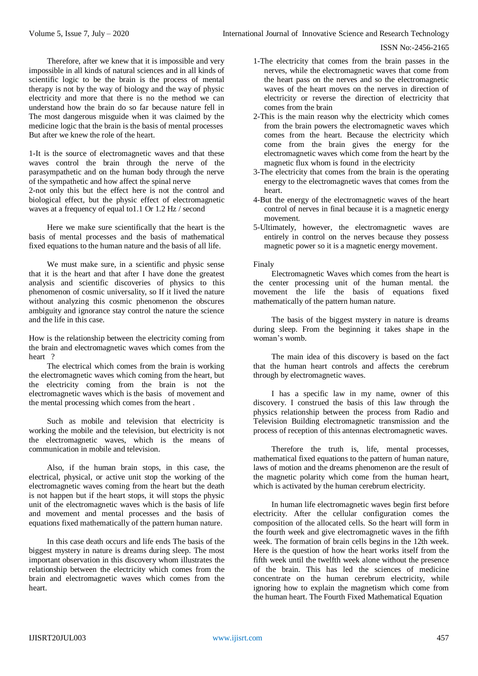Therefore, after we knew that it is impossible and very impossible in all kinds of natural sciences and in all kinds of scientific logic to be the brain is the process of mental therapy is not by the way of biology and the way of physic electricity and more that there is no the method we can understand how the brain do so far because nature fell in The most dangerous misguide when it was claimed by the medicine logic that the brain is the basis of mental processes But after we knew the role of the heart.

1-It is the source of electromagnetic waves and that these waves control the brain through the nerve of the parasympathetic and on the human body through the nerve of the sympathetic and how affect the spinal nerve 2-not only this but the effect here is not the control and biological effect, but the physic effect of electromagnetic waves at a frequency of equal to1.1 Or 1.2 Hz / second

Here we make sure scientifically that the heart is the basis of mental processes and the basis of mathematical fixed equations to the human nature and the basis of all life.

We must make sure, in a scientific and physic sense that it is the heart and that after I have done the greatest analysis and scientific discoveries of physics to this phenomenon of cosmic universality, so If it lived the nature without analyzing this cosmic phenomenon the obscures ambiguity and ignorance stay control the nature the science and the life in this case.

How is the relationship between the electricity coming from the brain and electromagnetic waves which comes from the heart ?

The electrical which comes from the brain is working the electromagnetic waves which coming from the heart, but the electricity coming from the brain is not the electromagnetic waves which is the basis of movement and the mental processing which comes from the heart .

Such as mobile and television that electricity is working the mobile and the television, but electricity is not the electromagnetic waves, which is the means of communication in mobile and television.

Also, if the human brain stops, in this case, the electrical, physical, or active unit stop the working of the electromagnetic waves coming from the heart but the death is not happen but if the heart stops, it will stops the physic unit of the electromagnetic waves which is the basis of life and movement and mental processes and the basis of equations fixed mathematically of the pattern human nature.

In this case death occurs and life ends The basis of the biggest mystery in nature is dreams during sleep. The most important observation in this discovery whom illustrates the relationship between the electricity which comes from the brain and electromagnetic waves which comes from the heart.

- 1-The electricity that comes from the brain passes in the nerves, while the electromagnetic waves that come from the heart pass on the nerves and so the electromagnetic waves of the heart moves on the nerves in direction of electricity or reverse the direction of electricity that comes from the brain
- 2-This is the main reason why the electricity which comes from the brain powers the electromagnetic waves which comes from the heart. Because the electricity which come from the brain gives the energy for the electromagnetic waves which come from the heart by the magnetic flux whom is found in the electricity
- 3-The electricity that comes from the brain is the operating energy to the electromagnetic waves that comes from the heart.
- 4-But the energy of the electromagnetic waves of the heart control of nerves in final because it is a magnetic energy movement.
- 5-Ultimately, however, the electromagnetic waves are entirely in control on the nerves because they possess magnetic power so it is a magnetic energy movement.

# Finaly

Electromagnetic Waves which comes from the heart is the center processing unit of the human mental. the movement the life the basis of equations fixed mathematically of the pattern human nature.

The basis of the biggest mystery in nature is dreams during sleep. From the beginning it takes shape in the woman's womb.

The main idea of this discovery is based on the fact that the human heart controls and affects the cerebrum through by electromagnetic waves.

I has a specific law in my name, owner of this discovery. I construed the basis of this law through the physics relationship between the process from Radio and Television Building electromagnetic transmission and the process of reception of this antennas electromagnetic waves.

Therefore the truth is, life, mental processes, mathematical fixed equations to the pattern of human nature, laws of motion and the dreams phenomenon are the result of the magnetic polarity which come from the human heart, which is activated by the human cerebrum electricity.

In human life electromagnetic waves begin first before electricity. After the cellular configuration comes the composition of the allocated cells. So the heart will form in the fourth week and give electromagnetic waves in the fifth week. The formation of brain cells begins in the 12th week. Here is the question of how the heart works itself from the fifth week until the twelfth week alone without the presence of the brain. This has led the sciences of medicine concentrate on the human cerebrum electricity, while ignoring how to explain the magnetism which come from the human heart. The Fourth Fixed Mathematical Equation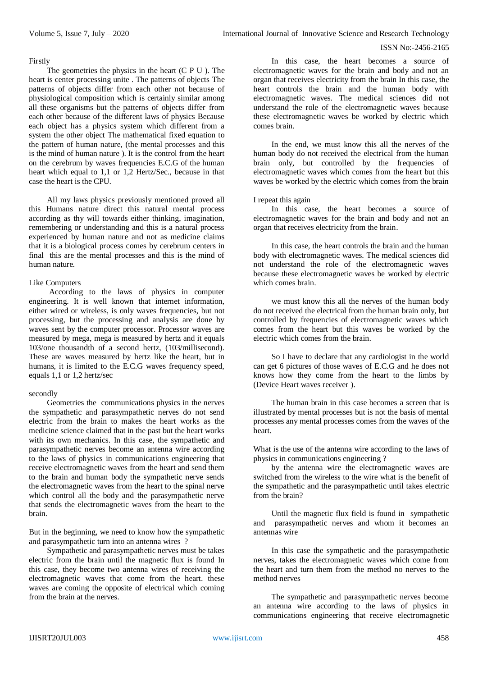# Firstly

The geometries the physics in the heart (C P U ). The heart is center processing unite . The patterns of objects The patterns of objects differ from each other not because of physiological composition which is certainly similar among all these organisms but the patterns of objects differ from each other because of the different laws of physics Because each object has a physics system which different from a system the other object The mathematical fixed equation to the pattern of human nature, (the mental processes and this is the mind of human nature ). It is the control from the heart on the cerebrum by waves frequencies E.C.G of the human heart which equal to 1.1 or 1.2 Hertz/Sec., because in that case the heart is the CPU.

All my laws physics previously mentioned proved all this Humans nature direct this natural mental process according as thy will towards either thinking, imagination, remembering or understanding and this is a natural process experienced by human nature and not as medicine claims that it is a biological process comes by cerebrum centers in final this are the mental processes and this is the mind of human nature.

# Like Computers

According to the laws of physics in computer engineering. It is well known that internet information, either wired or wireless, is only waves frequencies, but not processing, but the processing and analysis are done by waves sent by the computer processor. Processor waves are measured by mega, mega is measured by hertz and it equals 103/one thousandth of a second hertz, (103/millisecond). These are waves measured by hertz like the heart, but in humans, it is limited to the E.C.G waves frequency speed, equals 1,1 or 1,2 hertz/sec

# secondly

Geometries the communications physics in the nerves the sympathetic and parasympathetic nerves do not send electric from the brain to makes the heart works as the medicine science claimed that in the past but the heart works with its own mechanics. In this case, the sympathetic and parasympathetic nerves become an antenna wire according to the laws of physics in communications engineering that receive electromagnetic waves from the heart and send them to the brain and human body the sympathetic nerve sends the electromagnetic waves from the heart to the spinal nerve which control all the body and the parasympathetic nerve that sends the electromagnetic waves from the heart to the brain.

But in the beginning, we need to know how the sympathetic and parasympathetic turn into an antenna wires ?

Sympathetic and parasympathetic nerves must be takes electric from the brain until the magnetic flux is found In this case, they become two antenna wires of receiving the electromagnetic waves that come from the heart. these waves are coming the opposite of electrical which coming from the brain at the nerves.

In this case, the heart becomes a source of electromagnetic waves for the brain and body and not an organ that receives electricity from the brain In this case, the heart controls the brain and the human body with electromagnetic waves. The medical sciences did not understand the role of the electromagnetic waves because these electromagnetic waves be worked by electric which comes brain.

In the end, we must know this all the nerves of the human body do not received the electrical from the human brain only, but controlled by the frequencies of electromagnetic waves which comes from the heart but this waves be worked by the electric which comes from the brain

# I repeat this again

In this case, the heart becomes a source of electromagnetic waves for the brain and body and not an organ that receives electricity from the brain.

In this case, the heart controls the brain and the human body with electromagnetic waves. The medical sciences did not understand the role of the electromagnetic waves because these electromagnetic waves be worked by electric which comes brain.

we must know this all the nerves of the human body do not received the electrical from the human brain only, but controlled by frequencies of electromagnetic waves which comes from the heart but this waves be worked by the electric which comes from the brain.

So I have to declare that any cardiologist in the world can get 6 pictures of those waves of E.C.G and he does not knows how they come from the heart to the limbs by (Device Heart waves receiver ).

The human brain in this case becomes a screen that is illustrated by mental processes but is not the basis of mental processes any mental processes comes from the waves of the heart.

What is the use of the antenna wire according to the laws of physics in communications engineering ?

by the antenna wire the electromagnetic waves are switched from the wireless to the wire what is the benefit of the sympathetic and the parasympathetic until takes electric from the brain?

Until the magnetic flux field is found in sympathetic and parasympathetic nerves and whom it becomes an antennas wire

In this case the sympathetic and the parasympathetic nerves, takes the electromagnetic waves which come from the heart and turn them from the method no nerves to the method nerves

The sympathetic and parasympathetic nerves become an antenna wire according to the laws of physics in communications engineering that receive electromagnetic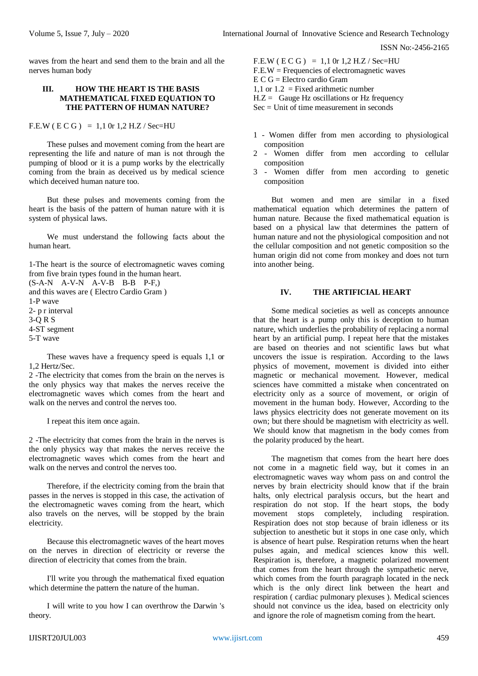waves from the heart and send them to the brain and all the nerves human body

## **III. HOW THE HEART IS THE BASIS MATHEMATICAL FIXED EQUATION TO THE PATTERN OF HUMAN NATURE?**

 $F.E.W ( E C G ) = 1,1 0r 1,2 H.Z / Sec=HU$ 

These pulses and movement coming from the heart are representing the life and nature of man is not through the pumping of blood or it is a pump works by the electrically coming from the brain as deceived us by medical science which deceived human nature too.

But these pulses and movements coming from the heart is the basis of the pattern of human nature with it is system of physical laws.

We must understand the following facts about the human heart.

1-The heart is the source of electromagnetic waves coming from five brain types found in the human heart.

 $(S-A-N \ A-V-N \ A-V-B \ B-B \ P-F)$ and this waves are ( Electro Cardio Gram ) 1-P wave 2- p r interval 3-Q R S 4-ST segment 5-T wave

These waves have a frequency speed is equals 1,1 or 1,2 Hertz/Sec.

2 -The electricity that comes from the brain on the nerves is the only physics way that makes the nerves receive the electromagnetic waves which comes from the heart and walk on the nerves and control the nerves too.

I repeat this item once again.

2 -The electricity that comes from the brain in the nerves is the only physics way that makes the nerves receive the electromagnetic waves which comes from the heart and walk on the nerves and control the nerves too.

Therefore, if the electricity coming from the brain that passes in the nerves is stopped in this case, the activation of the electromagnetic waves coming from the heart, which also travels on the nerves, will be stopped by the brain electricity.

Because this electromagnetic waves of the heart moves on the nerves in direction of electricity or reverse the direction of electricity that comes from the brain.

I'll write you through the mathematical fixed equation which determine the pattern the nature of the human.

I will write to you how I can overthrow the Darwin 's theory.

 $F.E.W ( E C G ) = 1.1 0r 1.2 H.Z / Sec=HU$  $F.E.W = Frequencies of electromagnetic waves$  $E C G =$  Electro cardio Gram 1.1 or  $1.2$  = Fixed arithmetic number  $H.Z =$  Gauge Hz oscillations or Hz frequency  $Sec = Unit of time measurement in seconds$ 

- 1 Women differ from men according to physiological composition
- 2 Women differ from men according to cellular composition
- 3 Women differ from men according to genetic composition

But women and men are similar in a fixed mathematical equation which determines the pattern of human nature. Because the fixed mathematical equation is based on a physical law that determines the pattern of human nature and not the physiological composition and not the cellular composition and not genetic composition so the human origin did not come from monkey and does not turn into another being.

## **IV. THE ARTIFICIAL HEART**

Some medical societies as well as concepts announce that the heart is a pump only this is deception to human nature, which underlies the probability of replacing a normal heart by an artificial pump. I repeat here that the mistakes are based on theories and not scientific laws but what uncovers the issue is respiration. According to the laws physics of movement, movement is divided into either magnetic or mechanical movement. However, medical sciences have committed a mistake when concentrated on electricity only as a source of movement, or origin of movement in the human body. However, According to the laws physics electricity does not generate movement on its own; but there should be magnetism with electricity as well. We should know that magnetism in the body comes from the polarity produced by the heart.

The magnetism that comes from the heart here does not come in a magnetic field way, but it comes in an electromagnetic waves way whom pass on and control the nerves by brain electricity should know that if the brain halts, only electrical paralysis occurs, but the heart and respiration do not stop. If the heart stops, the body movement stops completely, including respiration. Respiration does not stop because of brain idleness or its subjection to anesthetic but it stops in one case only, which is absence of heart pulse. Respiration returns when the heart pulses again, and medical sciences know this well. Respiration is, therefore, a magnetic polarized movement that comes from the heart through the sympathetic nerve, which comes from the fourth paragraph located in the neck which is the only direct link between the heart and respiration ( cardiac pulmonary plexuses ). Medical sciences should not convince us the idea, based on electricity only and ignore the role of magnetism coming from the heart.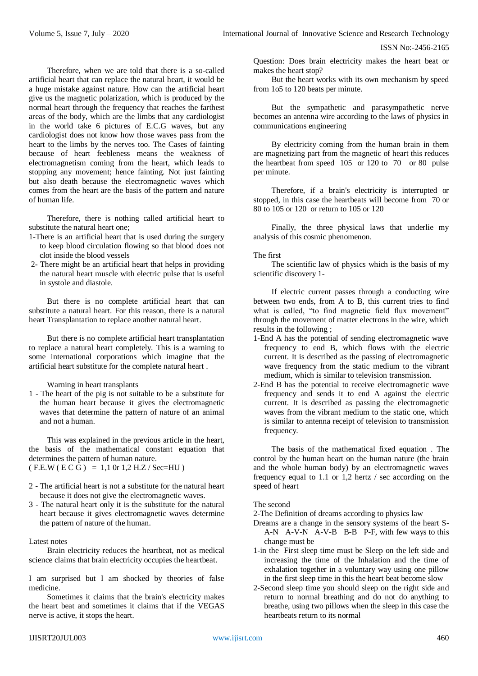Therefore, when we are told that there is a so-called artificial heart that can replace the natural heart, it would be a huge mistake against nature. How can the artificial heart give us the magnetic polarization, which is produced by the normal heart through the frequency that reaches the farthest areas of the body, which are the limbs that any cardiologist in the world take 6 pictures of E.C.G waves, but any cardiologist does not know how those waves pass from the heart to the limbs by the nerves too. The Cases of fainting because of heart feebleness means the weakness of electromagnetism coming from the heart, which leads to stopping any movement; hence fainting. Not just fainting but also death because the electromagnetic waves which comes from the heart are the basis of the pattern and nature of human life.

Therefore, there is nothing called artificial heart to substitute the natural heart one;

- 1-There is an artificial heart that is used during the surgery to keep blood circulation flowing so that blood does not clot inside the blood vessels
- 2- There might be an artificial heart that helps in providing the natural heart muscle with electric pulse that is useful in systole and diastole.

But there is no complete artificial heart that can substitute a natural heart. For this reason, there is a natural heart Transplantation to replace another natural heart.

But there is no complete artificial heart transplantation to replace a natural heart completely. This is a warning to some international corporations which imagine that the artificial heart substitute for the complete natural heart .

Warning in heart transplants

1 - The heart of the pig is not suitable to be a substitute for the human heart because it gives the electromagnetic waves that determine the pattern of nature of an animal and not a human.

This was explained in the previous article in the heart, the basis of the mathematical constant equation that determines the pattern of human nature.  $(F.E.W ( E C G) = 1,1 0r 1,2 H.Z / Sec=HU)$ 

- 2 The artificial heart is not a substitute for the natural heart because it does not give the electromagnetic waves.
- 3 The natural heart only it is the substitute for the natural heart because it gives electromagnetic waves determine the pattern of nature of the human.

### Latest notes

Brain electricity reduces the heartbeat, not as medical science claims that brain electricity occupies the heartbeat.

I am surprised but I am shocked by theories of false medicine.

Sometimes it claims that the brain's electricity makes the heart beat and sometimes it claims that if the VEGAS nerve is active, it stops the heart.

Question: Does brain electricity makes the heart beat or makes the heart stop?

But the heart works with its own mechanism by speed from 1o5 to 120 beats per minute.

But the sympathetic and parasympathetic nerve becomes an antenna wire according to the laws of physics in communications engineering

By electricity coming from the human brain in them are magnetizing part from the magnetic of heart this reduces the heartbeat from speed 105 or 120 to 70 or 80 pulse per minute.

Therefore, if a brain's electricity is interrupted or stopped, in this case the heartbeats will become from 70 or 80 to 105 or 120 or return to 105 or 120

Finally, the three physical laws that underlie my analysis of this cosmic phenomenon.

The first

The scientific law of physics which is the basis of my scientific discovery 1-

If electric current passes through a conducting wire between two ends, from A to B, this current tries to find what is called, "to find magnetic field flux movement" through the movement of matter electrons in the wire, which results in the following ;

- 1-End A has the potential of sending electromagnetic wave frequency to end B, which flows with the electric current. It is described as the passing of electromagnetic wave frequency from the static medium to the vibrant medium, which is similar to television transmission.
- 2-End B has the potential to receive electromagnetic wave frequency and sends it to end A against the electric current. It is described as passing the electromagnetic waves from the vibrant medium to the static one, which is similar to antenna receipt of television to transmission frequency.

The basis of the mathematical fixed equation . The control by the human heart on the human nature (the brain and the whole human body) by an electromagnetic waves frequency equal to 1.1 or 1,2 hertz / sec according on the speed of heart

# The second

2-The Definition of dreams according to physics law

Dreams are a change in the sensory systems of the heart S-A-N A-V-N A-V-B B-B P-F, with few ways to this change must be

- 1-in the First sleep time must be Sleep on the left side and increasing the time of the Inhalation and the time of exhalation together in a voluntary way using one pillow in the first sleep time in this the heart beat become slow
- 2-Second sleep time you should sleep on the right side and return to normal breathing and do not do anything to breathe, using two pillows when the sleep in this case the heartbeats return to its normal